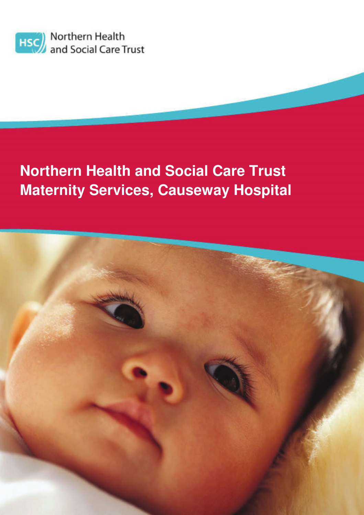

# **Northern Health and Social Care Trust Maternity Services, Causeway Hospital**

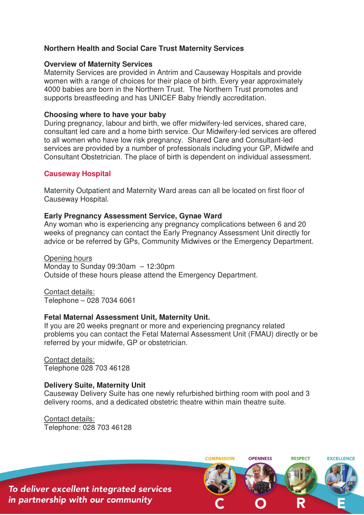## **Northern Health and Social Care Trust Maternity Services**

#### **Overview of Maternity Services**

Maternity Services are provided in Antrim and Causeway Hospitals and provide women with a range of choices for their place of birth. Every year approximately 4000 babies are born in the Northern Trust. The Northern Trust promotes and supports breastfeeding and has UNICEF Baby friendly accreditation.

#### **Choosing where to have your baby**

During pregnancy, labour and birth, we offer midwifery-led services, shared care, consultant led care and a home birth service. Our Midwifery-led services are offered to all women who have low risk pregnancy. Shared Care and Consultant-led services are provided by a number of professionals including your GP, Midwife and Consultant Obstetrician. The place of birth is dependent on individual assessment.

## **Causeway Hospital**

Maternity Outpatient and Maternity Ward areas can all be located on first floor of Causeway Hospital.

#### **Early Pregnancy Assessment Service, Gynae Ward**

Any woman who is experiencing any pregnancy complications between 6 and 20 weeks of pregnancy can contact the Early Pregnancy Assessment Unit directly for advice or be referred by GPs, Community Midwives or the Emergency Department.

Opening hours Monday to Sunday 09:30am – 12:30pm Outside of these hours please attend the Emergency Department.

Contact details: Telephone – 028 7034 6061

## **Fetal Maternal Assessment Unit, Maternity Unit.**

If you are 20 weeks pregnant or more and experiencing pregnancy related problems you can contact the Fetal Maternal Assessment Unit (FMAU) directly or be referred by your midwife, GP or obstetrician.

Contact details: Telephone 028 703 46128

## **Delivery Suite, Maternity Unit**

Causeway Delivery Suite has one newly refurbished birthing room with pool and 3 delivery rooms, and a dedicated obstetric theatre within main theatre suite.

Contact details: Telephone: 028 703 46128